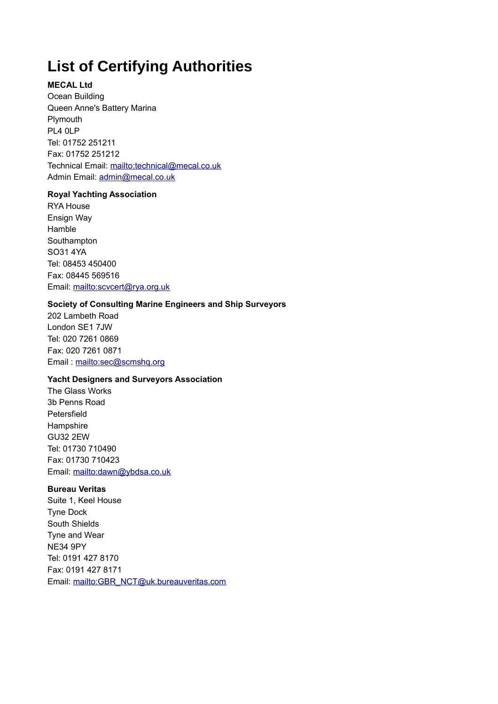# **List of Certifying Authorities**

# **MECAL Ltd**

Ocean Building Queen Anne's Battery Marina Plymouth PL4 0LP Tel: 01752 251211 Fax: 01752 251212 Technical Email:<mailto:technical@mecal.co.uk> Admin Email: [admin@mecal.co.uk](mailto:admin@mecal.co.uk)

#### **Royal Yachting Association**

RYA House Ensign Way Hamble Southampton SO31 4YA Tel: 08453 450400 Fax: 08445 569516 Email:<mailto:scvcert@rya.org.uk>

## **Society of Consulting Marine Engineers and Ship Surveyors**

202 Lambeth Road London SE1 7JW Tel: 020 7261 0869 Fax: 020 7261 0871 Email :<mailto:sec@scmshq.org>

## **Yacht Designers and Surveyors Association**

The Glass Works 3b Penns Road Petersfield Hampshire GU32 2EW Tel: 01730 710490 Fax: 01730 710423 Email:<mailto:dawn@ybdsa.co.uk>

# **Bureau Veritas**

Suite 1, Keel House Tyne Dock South Shields Tyne and Wear NE34 9PY Tel: 0191 427 8170 Fax: 0191 427 8171 Email: [mailto:GBR\\_NCT@uk.bureauveritas.com](mailto:GBR_NCT@uk.bureauveritas.com)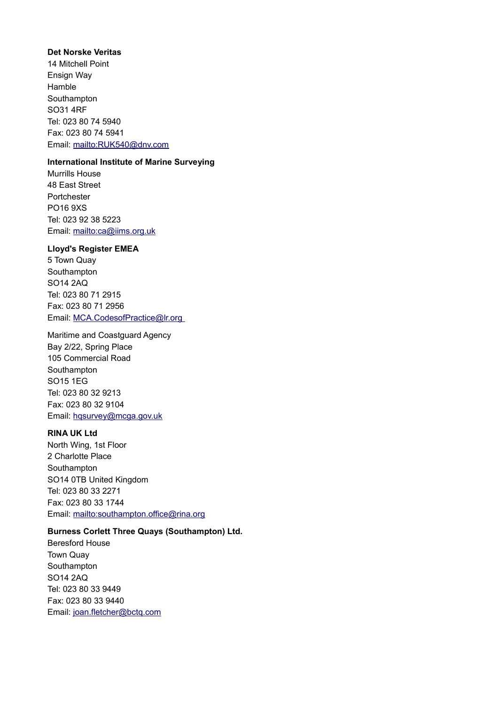#### **Det Norske Veritas**

14 Mitchell Point Ensign Way Hamble Southampton SO31 4RF Tel: 023 80 74 5940 Fax: 023 80 74 5941 Email:<mailto:RUK540@dnv.com>

# **International Institute of Marine Surveying**

Murrills House 48 East Street Portchester PO16 9XS Tel: 023 92 38 5223 Email:<mailto:ca@iims.org.uk>

#### **Lloyd's Register EMEA**

5 Town Quay Southampton SO14 2AQ Tel: 023 80 71 2915 Fax: 023 80 71 2956 Email: [MCA.CodesofPractice@lr.org](mailto:MCA.CodesofPractice@lr.org) 

Maritime and Coastguard Agency Bay 2/22, Spring Place 105 Commercial Road Southampton SO15 1EG Tel: 023 80 32 9213 Fax: 023 80 32 9104 Email: [hqsurvey@mcga.gov.uk](mailto:hqsurvey@mcga.gov.uk)

#### **RINA UK Ltd**

North Wing, 1st Floor 2 Charlotte Place Southampton SO14 0TB United Kingdom Tel: 023 80 33 2271 Fax: 023 80 33 1744 Email:<mailto:southampton.office@rina.org>

# **Burness Corlett Three Quays (Southampton) Ltd.**

Beresford House Town Quay Southampton SO14 2AQ Tel: 023 80 33 9449 Fax: 023 80 33 9440 Email: [joan.fletcher@bctq.com](mailto:joan.fletcher@bctq.com)